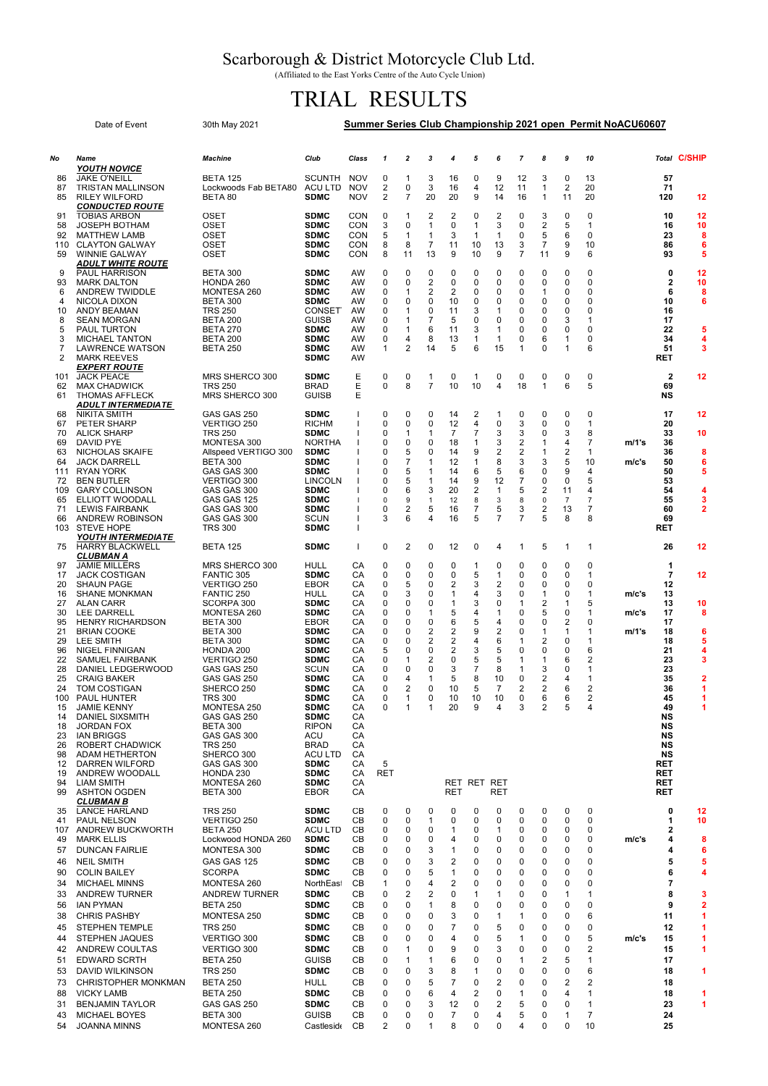## Scarborough & District Motorcycle Club Ltd.

(Affiliated to the East Yorks Centre of the Auto Cycle Union)

## TRIAL RESULTS

| Date of Event           |                                                         | 30th May 2021                      | Summer Series Club Championship 2021 open Permit NoACU60607 |              |            |                             |                     |                                  |                             |                     |                     |                |                   |                |       |                    |                         |
|-------------------------|---------------------------------------------------------|------------------------------------|-------------------------------------------------------------|--------------|------------|-----------------------------|---------------------|----------------------------------|-----------------------------|---------------------|---------------------|----------------|-------------------|----------------|-------|--------------------|-------------------------|
| No                      | Name                                                    | <b>Machine</b>                     | Club                                                        | Class        | 1          | $\overline{2}$              | 3                   | 4                                | 5                           | 6                   | $\overline{7}$      | 8              | 9                 | 10             |       |                    | Total C/SHIP            |
|                         | <b>YOUTH NOVICE</b><br><b>JAKE O'NEILL</b>              | <b>BETA 125</b>                    |                                                             | <b>NOV</b>   | 0          |                             | 3                   |                                  | $\mathbf 0$                 | 9                   |                     | 3              | 0                 |                |       |                    |                         |
| 86<br>87                | <b>TRISTAN MALLINSON</b>                                | Lockwoods Fab BETA80               | <b>SCUNTH</b><br><b>ACU LTD</b>                             | <b>NOV</b>   | 2          | 1<br>0                      | 3                   | 16<br>16                         | 4                           | 12                  | 12<br>11            | 1              | $\overline{2}$    | 13<br>20       |       | 57<br>71           |                         |
| 85                      | <b>RILEY WILFORD</b>                                    | BETA 80                            | <b>SDMC</b>                                                 | <b>NOV</b>   | 2          | $\overline{7}$              | 20                  | 20                               | 9                           | 14                  | 16                  | $\mathbf{1}$   | 11                | 20             |       | 120                | 12                      |
|                         | <i><b>CONDUCTED ROUTE</b></i>                           |                                    |                                                             |              |            |                             |                     |                                  |                             |                     |                     |                |                   |                |       |                    |                         |
| 91<br>58                | <b>TOBIAS ARBON</b><br><b>JOSEPH BOTHAM</b>             | OSET<br>OSET                       | <b>SDMC</b><br><b>SDMC</b>                                  | CON<br>CON   | 0<br>3     | 1<br>0                      | 2<br>1              | 2<br>0                           | $\mathbf 0$<br>$\mathbf{1}$ | $\overline{2}$<br>3 | 0<br>$\Omega$       | 3<br>2         | 0<br>5            | 0<br>1         |       | 10<br>16           | 12<br>10                |
| 92                      | <b>MATTHEW LAMB</b>                                     | OSET                               | <b>SDMC</b>                                                 | CON          | 5          | $\mathbf{1}$                | 1                   | 3                                | -1                          | $\mathbf{1}$        | $\Omega$            | 5              | 6                 | $\Omega$       |       | 23                 | 8                       |
| 110                     | <b>CLAYTON GALWAY</b>                                   | OSET                               | <b>SDMC</b>                                                 | CON          | 8          | 8                           | $\overline{7}$      | 11                               | 10                          | 13                  | 3                   | $\overline{7}$ | 9                 | 10             |       | 86                 | 6                       |
| 59                      | <b>WINNIE GALWAY</b><br><i><b>ADULT WHITE ROUTE</b></i> | <b>OSET</b>                        | <b>SDMC</b>                                                 | CON          | 8          | 11                          | 13                  | 9                                | 10                          | 9                   | 7                   | 11             | 9                 | 6              |       | 93                 | 5                       |
| 9                       | <b>PAUL HARRISON</b>                                    | <b>BETA 300</b>                    | <b>SDMC</b>                                                 | AW           | 0          | 0                           | $\mathbf 0$         | 0                                | $\mathbf 0$                 | 0                   | 0                   | 0              | 0                 | 0              |       | 0                  | 12                      |
| 93                      | <b>MARK DALTON</b>                                      | HONDA 260                          | <b>SDMC</b>                                                 | AW           | 0          | 0                           | 2                   | $\mathbf 0$                      | $\mathbf 0$                 | 0                   | 0                   | 0              | 0                 | 0              |       | 2                  | 10                      |
| 6<br>4                  | ANDREW TWIDDLE<br>NICOLA DIXON                          | MONTESA 260<br><b>BETA 300</b>     | <b>SDMC</b><br><b>SDMC</b>                                  | AW<br>AW     | 0<br>0     | 1<br>0                      | 2<br>0              | 2<br>10                          | $\mathbf 0$<br>$\mathbf 0$  | 0<br>0              | 0<br>$\Omega$       | 1<br>0         | 0<br>0            | 0<br>0         |       | 6<br>10            | 8<br>6                  |
| 10                      | ANDY BEAMAN                                             | <b>TRS 250</b>                     | <b>CONSET</b>                                               | <b>AW</b>    | 0          | -1                          | 0                   | 11                               | 3                           | $\mathbf{1}$        | $\Omega$            | $\Omega$       | 0                 | 0              |       | 16                 |                         |
| 8                       | <b>SEAN MORGAN</b>                                      | <b>BETA 200</b>                    | <b>GUISB</b>                                                | AW           | 0          | 1                           | $\overline{7}$      | 5                                | $\mathbf 0$                 | $\mathbf 0$         | 0                   | 0              | 3                 | 1              |       | 17                 |                         |
| 5<br>3                  | <b>PAUL TURTON</b>                                      | <b>BETA 270</b>                    | <b>SDMC</b>                                                 | AW           | 0<br>0     | 1                           | 6<br>8              | 11                               | 3                           | 1                   | $\Omega$<br>0       | 0              | 0<br>$\mathbf{1}$ | 0              |       | 22                 | 5                       |
| 7                       | <b>MICHAEL TANTON</b><br><b>LAWRENCE WATSON</b>         | <b>BETA 200</b><br><b>BETA 250</b> | <b>SDMC</b><br><b>SDMC</b>                                  | AW<br>AW     | 1          | 4<br>$\overline{2}$         | 14                  | 13<br>5                          | 1<br>6                      | 1<br>15             | 1                   | 6<br>0         | 1                 | 0<br>6         |       | 34<br>51           | 4<br>3                  |
| $\overline{2}$          | <b>MARK REEVES</b>                                      |                                    | <b>SDMC</b>                                                 | AW           |            |                             |                     |                                  |                             |                     |                     |                |                   |                |       | RET                |                         |
|                         | <i><b>EXPERT ROUTE</b></i>                              |                                    |                                                             |              |            |                             |                     |                                  |                             |                     |                     |                |                   |                |       |                    |                         |
| 101<br>62               | <b>JACK PEACE</b><br><b>MAX CHADWICK</b>                | MRS SHERCO 300<br><b>TRS 250</b>   | <b>SDMC</b><br><b>BRAD</b>                                  | Ε<br>Ε       | 0<br>0     | 0<br>8                      | 1<br>7              | 0<br>10                          | $\mathbf{1}$<br>10          | 0<br>4              | 0<br>18             | 0<br>1         | 0<br>6            | 0<br>5         |       | $\mathbf{2}$<br>69 | 12                      |
| 61                      | <b>THOMAS AFFLECK</b>                                   | MRS SHERCO 300                     | <b>GUISB</b>                                                | Ε            |            |                             |                     |                                  |                             |                     |                     |                |                   |                |       | NS                 |                         |
|                         | ADULT INTERMEDIATE                                      |                                    |                                                             |              |            |                             |                     |                                  |                             |                     |                     |                |                   |                |       |                    |                         |
| 68                      | <b>NIKITA SMITH</b>                                     | GAS GAS 250                        | <b>SDMC</b>                                                 |              | 0          | 0                           | $\mathbf 0$         | 14                               | 2                           | 1                   | 0                   | 0              | 0                 | 0              |       | 17                 | 12                      |
| 67<br>70                | PETER SHARP<br><b>ALICK SHARP</b>                       | VERTIGO 250<br><b>TRS 250</b>      | <b>RICHM</b><br><b>SDMC</b>                                 |              | 0<br>0     | 0<br>1                      | 0<br>1              | 12<br>$\overline{7}$             | 4<br>$\overline{7}$         | 0<br>3              | 3<br>3              | 0<br>0         | 0<br>3            | 1<br>8         |       | 20<br>33           | 10                      |
| 69                      | <b>DAVID PYE</b>                                        | MONTESA 300                        | <b>NORTHA</b>                                               |              | 0          | 0                           | 0                   | 18                               | 1                           | 3                   | 2                   | 1              | 4                 | 7              | m/1's | 36                 |                         |
| 63                      | <b>NICHOLAS SKAIFE</b>                                  | Allspeed VERTIGO 300               | <b>SDMC</b>                                                 |              | 0          | 5                           | 0                   | 14                               | 9                           | $\overline{2}$      | 2                   | 1              | 2                 | 1              |       | 36                 | 8                       |
| 64<br>111               | <b>JACK DARRELL</b><br><b>RYAN YORK</b>                 | <b>BETA 300</b><br>GAS GAS 300     | <b>SDMC</b><br><b>SDMC</b>                                  |              | 0<br>0     | $\overline{7}$<br>5         | 1<br>1              | 12<br>14                         | $\mathbf{1}$<br>6           | 8<br>5              | 3<br>6              | 3<br>0         | 5<br>9            | 10<br>4        | m/c's | 50<br>50           | 6<br>5                  |
| 72                      | <b>BEN BUTLER</b>                                       | <b>VERTIGO 300</b>                 | <b>LINCOLN</b>                                              |              | 0          | 5                           | 1                   | 14                               | 9                           | 12                  | 7                   | 0              | $\mathbf 0$       | 5              |       | 53                 |                         |
| 109                     | <b>GARY COLLINSON</b>                                   | GAS GAS 300                        | <b>SDMC</b>                                                 |              | 0          | 6                           | 3                   | 20                               | $\overline{c}$              | $\mathbf{1}$        | 5                   | 2              | 11                | 4              |       | 54                 | 4                       |
| 65                      | ELLIOTT WOODALL                                         | GAS GAS 125                        | <b>SDMC</b>                                                 |              | 0          | 9                           | $\mathbf{1}$        | 12                               | 8                           | 3                   | 8                   | 0              | 7                 | $\overline{7}$ |       | 55                 | 3                       |
| 71<br>66                | <b>LEWIS FAIRBANK</b><br><b>ANDREW ROBINSON</b>         | GAS GAS 300<br>GAS GAS 300         | <b>SDMC</b><br>SCUN                                         |              | 0<br>3     | 2<br>6                      | 5<br>4              | 16<br>16                         | 7<br>5                      | 5<br>$\overline{7}$ | 3<br>$\overline{7}$ | 2<br>5         | 13<br>8           | 7<br>8         |       | 60<br>69           | 2                       |
| 103                     | <b>STEVE HOPE</b>                                       | <b>TRS 300</b>                     | <b>SDMC</b>                                                 |              |            |                             |                     |                                  |                             |                     |                     |                |                   |                |       | RET                |                         |
|                         | <u>YOUTH INTERMEDIATE</u>                               |                                    |                                                             |              |            |                             |                     |                                  |                             |                     |                     |                |                   |                |       |                    |                         |
| 75                      | <b>HARRY BLACKWELL</b><br>CLUBMAN A                     | <b>BETA 125</b>                    | <b>SDMC</b>                                                 | $\mathbf{I}$ | 0          | 2                           | 0                   | 12                               | 0                           | 4                   | 1                   | 5              | $\mathbf{1}$      | 1              |       | 26                 | 12                      |
| 97                      | <b>JAMIE MILLERS</b>                                    | MRS SHERCO 300                     | HULL                                                        | СA           | 0          | 0                           | $\mathbf 0$         | 0                                | -1                          | 0                   | 0                   | 0              | 0                 | 0              |       | 1                  |                         |
| 17                      | <b>JACK COSTIGAN</b>                                    | <b>FANTIC 305</b>                  | <b>SDMC</b>                                                 | СA           | 0          | $\mathbf 0$                 | 0                   | $\mathbf 0$                      | 5                           | 1                   | 0                   | 0              | $\mathbf 0$       | 1              |       | $\overline{7}$     | 12                      |
| 20                      | <b>SHAUN PAGE</b>                                       | VERTIGO 250<br>FANTIC 250          | <b>EBOR</b>                                                 | СA           | 0          | 5<br>3                      | 0<br>0              | $\overline{2}$<br>1              | 3                           | $\overline{2}$      | 0<br>0              | 0              | $\mathbf 0$       | 0<br>1         |       | 12                 |                         |
| 16<br>27                | <b>SHANE MONKMAN</b><br><b>ALAN CARR</b>                | SCORPA 300                         | HULL<br><b>SDMC</b>                                         | СA<br>СA     | 0<br>0     | 0                           | 0                   | 1                                | 4<br>3                      | 3<br>0              | 1                   | 1<br>2         | 0<br>1            | 5              | m/c's | 13<br>13           | 10                      |
| 30                      | <b>LEE DARRELL</b>                                      | MONTESA 260                        | <b>SDMC</b>                                                 | СA           | 0          | 0                           | 1                   | 5                                | 4                           | 1                   | 0                   | 5              | 0                 | 1              | m/c's | 17                 | 8                       |
| 95                      | <b>HENRY RICHARDSON</b>                                 | <b>BETA 300</b>                    | <b>EBOR</b>                                                 | СA           | 0          | 0                           | 0                   | 6                                | 5                           | $\overline{4}$      | 0                   | 0              | 2                 | 0              |       | 17                 |                         |
| 21<br>29                | <b>BRIAN COOKE</b><br><b>LEE SMITH</b>                  | <b>BETA 300</b><br>BETA 300        | <b>SDMC</b><br><b>SDMC</b>                                  | СA<br>CА     | 0<br>0     | 0<br>0                      | 2<br>$\overline{c}$ | $\overline{c}$<br>$\overline{2}$ | 9<br>$\overline{4}$         | 2<br>6              | 0<br>1              | 1<br>2         | 1<br>0            | 1<br>1         | m/1's | 18<br>18           | 6<br>5                  |
| 96                      | NIGEL FINNIGAN                                          | HONDA 200                          | <b>SDMC</b>                                                 | CА           | 5          | 0                           | 0                   | $\overline{2}$                   | 3                           | 5                   | ŋ                   | 0              | 0                 | 6              |       | 21                 | 4                       |
| 22                      | <b>SAMUEL FAIRBANK</b>                                  | VERTIGO 250                        | <b>SDMC</b>                                                 | СA           | 0          | 1                           | 2                   | 0                                | 5                           | 5                   | 1                   | 1              | 6                 | 2              |       | 23                 | 3                       |
| 28<br>25                | DANIEL LEDGERWOOD<br><b>CRAIG BAKER</b>                 | GAS GAS 250<br>GAS GAS 250         | SCUN<br><b>SDMC</b>                                         | СA<br>СA     | 0<br>0     | 0<br>4                      | 0<br>1              | 3<br>5                           | $\overline{7}$<br>8         | 8<br>10             | 1<br>0              | 3<br>2         | 0<br>4            | 1<br>1         |       | 23<br>35           | 2                       |
| 24                      | <b>TOM COSTIGAN</b>                                     | SHERCO 250                         | <b>SDMC</b>                                                 | СA           | 0          | 2                           | 0                   | 10                               | 5                           | $\overline{7}$      | 2                   | 2              | 6                 | 2              |       | 36                 | 1                       |
| 100                     | <b>PAUL HUNTER</b>                                      | <b>TRS 300</b>                     | <b>SDMC</b>                                                 | СA           | 0          |                             | 0                   | 10                               | 10                          | 10                  | $\Omega$            | 6              | 6                 | 2              |       | 45                 |                         |
| 15                      | <b>JAMIE KENNY</b>                                      | MONTESA 250                        | <b>SDMC</b>                                                 | СA           | 0          | 1                           | 1                   | 20                               | 9                           | 4                   | 3                   | 2              | 5                 | 4              |       | 49                 | 1                       |
| 14<br>18                | DANIEL SIXSMITH<br>JORDAN FOX                           | GAS GAS 250<br>BETA 300            | <b>SDMC</b><br><b>RIPON</b>                                 | СA<br>CА     |            |                             |                     |                                  |                             |                     |                     |                |                   |                |       | NS<br>NS           |                         |
| 23                      | <b>IAN BRIGGS</b>                                       | GAS GAS 300                        | ACU                                                         | СA           |            |                             |                     |                                  |                             |                     |                     |                |                   |                |       | NS                 |                         |
| 26                      | ROBERT CHADWICK                                         | <b>TRS 250</b>                     | <b>BRAD</b>                                                 | СA           |            |                             |                     |                                  |                             |                     |                     |                |                   |                |       | NS                 |                         |
| 98<br>$12 \overline{ }$ | ADAM HETHERTON<br><b>DARREN WILFORD</b>                 | SHERCO 300<br>GAS GAS 300          | <b>ACU LTD</b><br><b>SDMC</b>                               | СA<br>СA     | 5          |                             |                     |                                  |                             |                     |                     |                |                   |                |       | NS<br>RET          |                         |
| 19                      | ANDREW WOODALL                                          | HONDA 230                          | <b>SDMC</b>                                                 | СA           | <b>RET</b> |                             |                     |                                  |                             |                     |                     |                |                   |                |       | RET                |                         |
| 94                      | LIAM SMITH                                              | MONTESA 260                        | <b>SDMC</b>                                                 | CА           |            |                             |                     |                                  | RET RET RET                 |                     |                     |                |                   |                |       | RET                |                         |
| 99                      | <b>ASHTON OGDEN</b><br><b>CLUBMAN B</b>                 | <b>BETA 300</b>                    | <b>EBOR</b>                                                 | СA           |            |                             |                     | RET                              |                             | <b>RET</b>          |                     |                |                   |                |       | RET                |                         |
| 35                      | <b>LANCE HARLAND</b>                                    | <b>TRS 250</b>                     | <b>SDMC</b>                                                 | CВ           | 0          | 0                           | 0                   | $\mathbf 0$                      | $\mathbf 0$                 | 0                   | 0                   | 0              | 0                 | 0              |       | 0                  | 12                      |
| 41                      | PAUL NELSON                                             | VERTIGO 250                        | <b>SDMC</b>                                                 | CВ           | 0          | $\mathbf 0$                 | 1                   | 0                                | $\mathbf 0$                 | 0                   | 0                   | 0              | 0                 | 0              |       | 1                  | 10                      |
|                         | 107 ANDREW BUCKWORTH                                    | <b>BETA 250</b>                    | ACU LTD                                                     | CВ           | 0          | 0                           | 0                   | 1                                | 0                           | -1                  | 0                   | 0              | 0                 | 0              |       | 2                  |                         |
| 49<br>57                | <b>MARK ELLIS</b><br><b>DUNCAN FAIRLIE</b>              | Lockwood HONDA 260<br>MONTESA 300  | <b>SDMC</b><br><b>SDMC</b>                                  | CВ<br>CВ     | 0<br>0     | 0<br>0                      | 0<br>3              | 4<br>1                           | 0<br>$\mathbf 0$            | 0<br>0              | 0<br>$\Omega$       | 0<br>0         | 0<br>0            | 0<br>0         | m/c's | 4<br>4             | 8<br>6                  |
| 46                      | <b>NEIL SMITH</b>                                       | GAS GAS 125                        | <b>SDMC</b>                                                 | CВ           | 0          | $\mathbf 0$                 | 3                   | $\overline{2}$                   | $\mathbf 0$                 | 0                   | 0                   | 0              | 0                 | 0              |       | 5                  | 5                       |
| 90                      | <b>COLIN BAILEY</b>                                     | <b>SCORPA</b>                      | <b>SDMC</b>                                                 | CВ           | 0          | 0                           | 5                   | 1                                | $\mathbf 0$                 | 0                   | 0                   | 0              | 0                 | 0              |       | 6                  | 4                       |
| 34                      | <b>MICHAEL MINNS</b>                                    | MONTESA 260                        | NorthEast                                                   | CВ           | 1          | 0                           | 4                   | 2                                | $\mathbf 0$                 | 0                   | 0                   | 0              | 0                 | 0              |       | 7                  |                         |
| 33                      | <b>ANDREW TURNER</b>                                    | <b>ANDREW TURNER</b>               | <b>SDMC</b>                                                 | CВ           | 0          | 2                           | 2                   | 0                                | $\mathbf{1}$                | $\mathbf{1}$        | 0                   | 0              | $\mathbf{1}$      | 1              |       | 8                  | 3                       |
| 56                      | IAN PYMAN                                               | <b>BETA 250</b>                    | <b>SDMC</b>                                                 | CВ           | 0          | 0                           | 1                   | 8                                | $\mathbf 0$                 | 0                   | 0                   | 0              | 0                 | 0              |       | 9                  | $\overline{\mathbf{2}}$ |
| 38                      | <b>CHRIS PASHBY</b>                                     | MONTESA 250                        | <b>SDMC</b>                                                 | CВ           | 0          | 0                           | 0                   | 3                                | $\mathbf 0$                 | 1                   | 1                   | 0              | 0                 | 6              |       | 11                 | 1                       |
| 45                      | <b>STEPHEN TEMPLE</b>                                   | <b>TRS 250</b>                     | <b>SDMC</b>                                                 | CВ           | 0          | 0                           | 0                   | $\overline{7}$                   | 0                           | 5                   | 0                   | 0              | 0                 | 0              |       | 12                 | 1                       |
| 44                      | <b>STEPHEN JAQUES</b>                                   | VERTIGO 300                        | <b>SDMC</b>                                                 | CВ           | 0          | 0                           | 0                   | 4                                | $\mathbf 0$                 | 5                   | 1                   | 0              | 0                 | 5              | m/c's | 15                 | 1                       |
| 42                      | ANDREW COULTAS                                          | VERTIGO 300                        | <b>SDMC</b>                                                 | CВ           | 0          | 1                           | 0                   | 9                                | 0                           | 3                   | 0                   | 0              | 0                 | 2              |       | 15                 | 1                       |
| 51                      | <b>EDWARD SCRTH</b>                                     | <b>BETA 250</b><br><b>TRS 250</b>  | <b>GUISB</b>                                                | CВ           | 0<br>0     | $\mathbf{1}$<br>$\mathbf 0$ | 1                   | 6                                | $\mathbf 0$                 | 0<br>0              | 1<br>0              | 2<br>0         | 5<br>0            | 1<br>6         |       | 17                 | 1                       |
| 53<br>73                | DAVID WILKINSON<br>CHRISTOPHER MONKMAN                  | <b>BETA 250</b>                    | <b>SDMC</b><br><b>HULL</b>                                  | CВ<br>CВ     | 0          | 0                           | 3<br>5              | 8<br>7                           | 1<br>0                      | 2                   | $\Omega$            | 0              | 2                 | 2              |       | 18<br>18           |                         |
| 88                      | <b>VICKY LAMB</b>                                       | <b>BETA 250</b>                    | <b>SDMC</b>                                                 | CВ           | 0          | $\mathbf 0$                 | 6                   | 4                                | 2                           | 0                   | 1                   | $\Omega$       | 4                 | 1              |       | 18                 | 1                       |
| 31                      | <b>BENJAMIN TAYLOR</b>                                  | GAS GAS 250                        | <b>SDMC</b>                                                 | CВ           | 0          | 0                           | 3                   | 12                               | 0                           | 2                   | 5                   | 0              | 0                 | 1              |       | 23                 | 1                       |
| 43                      | MICHAEL BOYES                                           | <b>BETA 300</b>                    | <b>GUISB</b>                                                | CВ           | 0          | 0                           | 0                   | 7                                | 0                           | 4                   | 5                   | 0              | 1                 | $\overline{7}$ |       | 24                 |                         |
| 54                      | JOANNA MINNS                                            | MONTESA 260                        | Castleside                                                  | CВ           | 2          | 0                           | 1                   | 8                                | 0                           | 0                   | 4                   | 0              | 0                 | 10             |       | 25                 |                         |